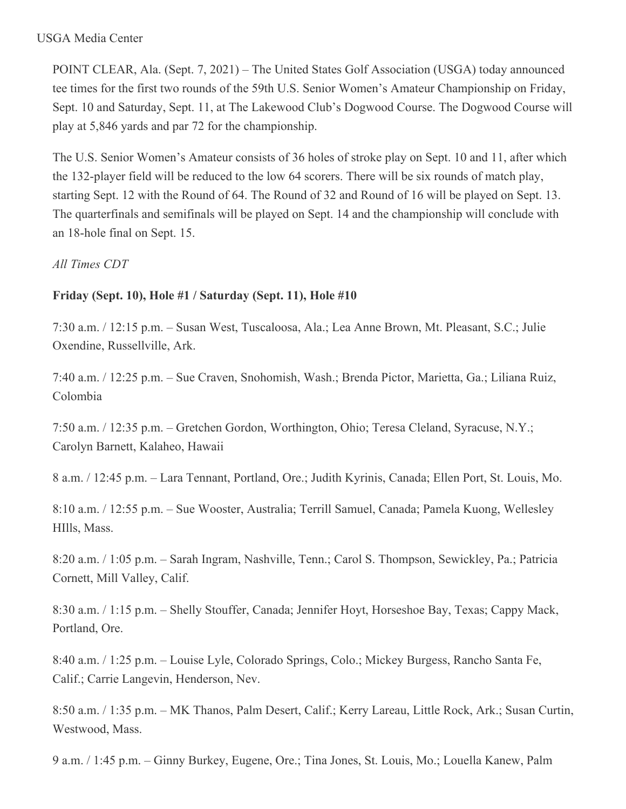#### USGA Media Center

POINT CLEAR, Ala. (Sept. 7, 2021) – The United States Golf Association (USGA) today announced tee times for the first two rounds of the 59th U.S. Senior Women's Amateur Championship on Friday, Sept. 10 and Saturday, Sept. 11, at The Lakewood Club's Dogwood Course. The Dogwood Course will play at 5,846 yards and par 72 for the championship.

The U.S. Senior Women's Amateur consists of 36 holes of stroke play on Sept. 10 and 11, after which the 132-player field will be reduced to the low 64 scorers. There will be six rounds of match play, starting Sept. 12 with the Round of 64. The Round of 32 and Round of 16 will be played on Sept. 13. The quarterfinals and semifinals will be played on Sept. 14 and the championship will conclude with an 18-hole final on Sept. 15.

## *All Times CDT*

## **Friday (Sept. 10), Hole #1 / Saturday (Sept. 11), Hole #10**

7:30 a.m. / 12:15 p.m. – Susan West, Tuscaloosa, Ala.; Lea Anne Brown, Mt. Pleasant, S.C.; Julie Oxendine, Russellville, Ark.

7:40 a.m. / 12:25 p.m. – Sue Craven, Snohomish, Wash.; Brenda Pictor, Marietta, Ga.; Liliana Ruiz, Colombia

7:50 a.m. / 12:35 p.m. – Gretchen Gordon, Worthington, Ohio; Teresa Cleland, Syracuse, N.Y.; Carolyn Barnett, Kalaheo, Hawaii

8 a.m. / 12:45 p.m. – Lara Tennant, Portland, Ore.; Judith Kyrinis, Canada; Ellen Port, St. Louis, Mo.

8:10 a.m. / 12:55 p.m. – Sue Wooster, Australia; Terrill Samuel, Canada; Pamela Kuong, Wellesley HIlls, Mass.

8:20 a.m. / 1:05 p.m. – Sarah Ingram, Nashville, Tenn.; Carol S. Thompson, Sewickley, Pa.; Patricia Cornett, Mill Valley, Calif.

8:30 a.m. / 1:15 p.m. – Shelly Stouffer, Canada; Jennifer Hoyt, Horseshoe Bay, Texas; Cappy Mack, Portland, Ore.

8:40 a.m. / 1:25 p.m. – Louise Lyle, Colorado Springs, Colo.; Mickey Burgess, Rancho Santa Fe, Calif.; Carrie Langevin, Henderson, Nev.

8:50 a.m. / 1:35 p.m. – MK Thanos, Palm Desert, Calif.; Kerry Lareau, Little Rock, Ark.; Susan Curtin, Westwood, Mass.

9 a.m. / 1:45 p.m. – Ginny Burkey, Eugene, Ore.; Tina Jones, St. Louis, Mo.; Louella Kanew, Palm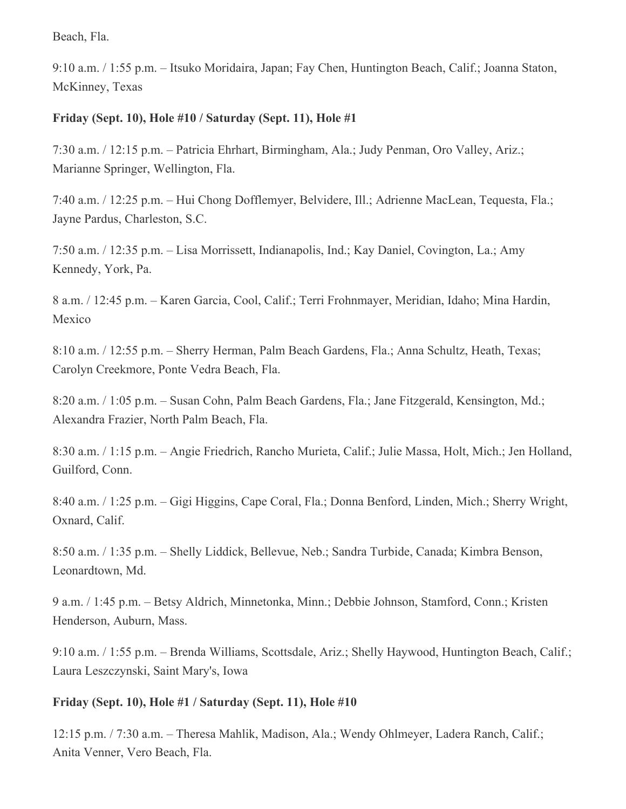Beach, Fla.

9:10 a.m. / 1:55 p.m. – Itsuko Moridaira, Japan; Fay Chen, Huntington Beach, Calif.; Joanna Staton, McKinney, Texas

## **Friday (Sept. 10), Hole #10 / Saturday (Sept. 11), Hole #1**

7:30 a.m. / 12:15 p.m. – Patricia Ehrhart, Birmingham, Ala.; Judy Penman, Oro Valley, Ariz.; Marianne Springer, Wellington, Fla.

7:40 a.m. / 12:25 p.m. – Hui Chong Dofflemyer, Belvidere, Ill.; Adrienne MacLean, Tequesta, Fla.; Jayne Pardus, Charleston, S.C.

7:50 a.m. / 12:35 p.m. – Lisa Morrissett, Indianapolis, Ind.; Kay Daniel, Covington, La.; Amy Kennedy, York, Pa.

8 a.m. / 12:45 p.m. – Karen Garcia, Cool, Calif.; Terri Frohnmayer, Meridian, Idaho; Mina Hardin, Mexico

8:10 a.m. / 12:55 p.m. – Sherry Herman, Palm Beach Gardens, Fla.; Anna Schultz, Heath, Texas; Carolyn Creekmore, Ponte Vedra Beach, Fla.

8:20 a.m. / 1:05 p.m. – Susan Cohn, Palm Beach Gardens, Fla.; Jane Fitzgerald, Kensington, Md.; Alexandra Frazier, North Palm Beach, Fla.

8:30 a.m. / 1:15 p.m. – Angie Friedrich, Rancho Murieta, Calif.; Julie Massa, Holt, Mich.; Jen Holland, Guilford, Conn.

8:40 a.m. / 1:25 p.m. – Gigi Higgins, Cape Coral, Fla.; Donna Benford, Linden, Mich.; Sherry Wright, Oxnard, Calif.

8:50 a.m. / 1:35 p.m. – Shelly Liddick, Bellevue, Neb.; Sandra Turbide, Canada; Kimbra Benson, Leonardtown, Md.

9 a.m. / 1:45 p.m. – Betsy Aldrich, Minnetonka, Minn.; Debbie Johnson, Stamford, Conn.; Kristen Henderson, Auburn, Mass.

9:10 a.m. / 1:55 p.m. – Brenda Williams, Scottsdale, Ariz.; Shelly Haywood, Huntington Beach, Calif.; Laura Leszczynski, Saint Mary's, Iowa

# **Friday (Sept. 10), Hole #1 / Saturday (Sept. 11), Hole #10**

12:15 p.m. / 7:30 a.m. – Theresa Mahlik, Madison, Ala.; Wendy Ohlmeyer, Ladera Ranch, Calif.; Anita Venner, Vero Beach, Fla.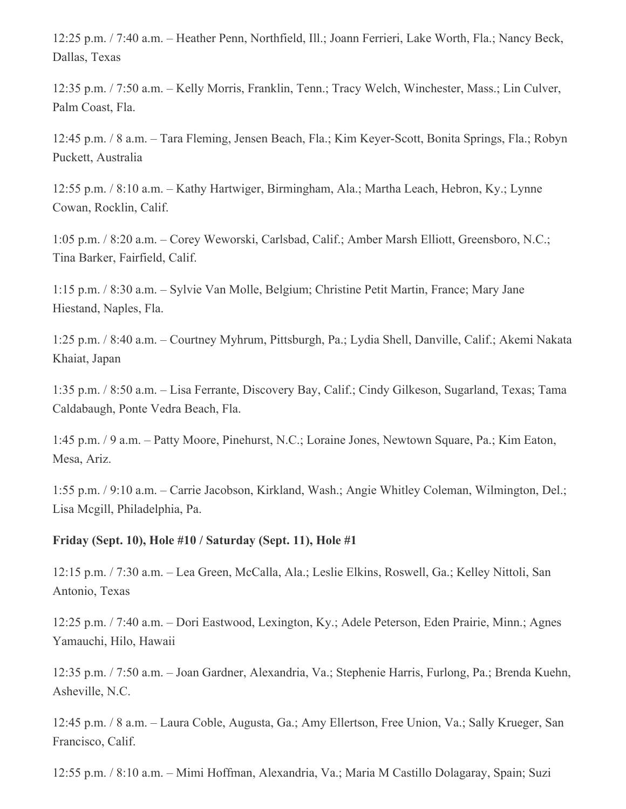12:25 p.m. / 7:40 a.m. – Heather Penn, Northfield, Ill.; Joann Ferrieri, Lake Worth, Fla.; Nancy Beck, Dallas, Texas

12:35 p.m. / 7:50 a.m. – Kelly Morris, Franklin, Tenn.; Tracy Welch, Winchester, Mass.; Lin Culver, Palm Coast, Fla.

12:45 p.m. / 8 a.m. – Tara Fleming, Jensen Beach, Fla.; Kim Keyer-Scott, Bonita Springs, Fla.; Robyn Puckett, Australia

12:55 p.m. / 8:10 a.m. – Kathy Hartwiger, Birmingham, Ala.; Martha Leach, Hebron, Ky.; Lynne Cowan, Rocklin, Calif.

1:05 p.m. / 8:20 a.m. – Corey Weworski, Carlsbad, Calif.; Amber Marsh Elliott, Greensboro, N.C.; Tina Barker, Fairfield, Calif.

1:15 p.m. / 8:30 a.m. – Sylvie Van Molle, Belgium; Christine Petit Martin, France; Mary Jane Hiestand, Naples, Fla.

1:25 p.m. / 8:40 a.m. – Courtney Myhrum, Pittsburgh, Pa.; Lydia Shell, Danville, Calif.; Akemi Nakata Khaiat, Japan

1:35 p.m. / 8:50 a.m. – Lisa Ferrante, Discovery Bay, Calif.; Cindy Gilkeson, Sugarland, Texas; Tama Caldabaugh, Ponte Vedra Beach, Fla.

1:45 p.m. / 9 a.m. – Patty Moore, Pinehurst, N.C.; Loraine Jones, Newtown Square, Pa.; Kim Eaton, Mesa, Ariz.

1:55 p.m. / 9:10 a.m. – Carrie Jacobson, Kirkland, Wash.; Angie Whitley Coleman, Wilmington, Del.; Lisa Mcgill, Philadelphia, Pa.

### **Friday (Sept. 10), Hole #10 / Saturday (Sept. 11), Hole #1**

12:15 p.m. / 7:30 a.m. – Lea Green, McCalla, Ala.; Leslie Elkins, Roswell, Ga.; Kelley Nittoli, San Antonio, Texas

12:25 p.m. / 7:40 a.m. – Dori Eastwood, Lexington, Ky.; Adele Peterson, Eden Prairie, Minn.; Agnes Yamauchi, Hilo, Hawaii

12:35 p.m. / 7:50 a.m. – Joan Gardner, Alexandria, Va.; Stephenie Harris, Furlong, Pa.; Brenda Kuehn, Asheville, N.C.

12:45 p.m. / 8 a.m. – Laura Coble, Augusta, Ga.; Amy Ellertson, Free Union, Va.; Sally Krueger, San Francisco, Calif.

12:55 p.m. / 8:10 a.m. – Mimi Hoffman, Alexandria, Va.; Maria M Castillo Dolagaray, Spain; Suzi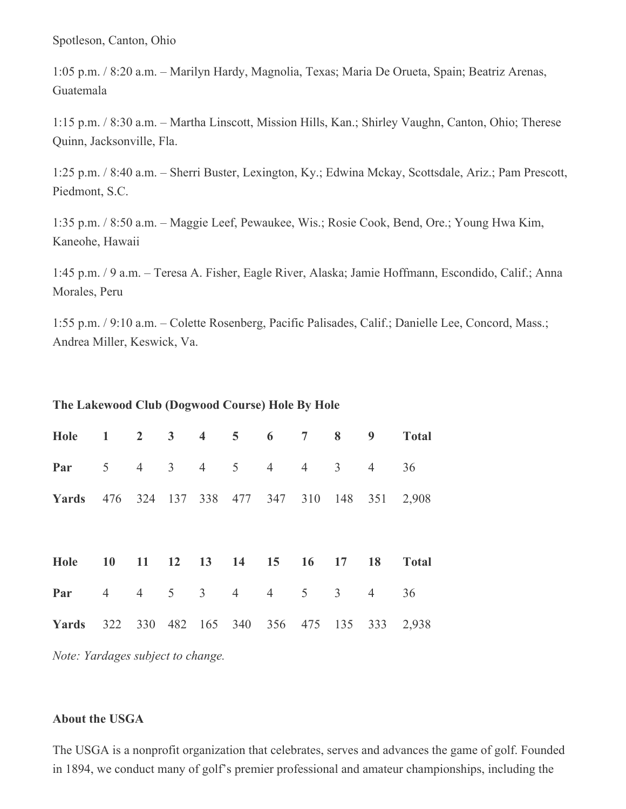Spotleson, Canton, Ohio

1:05 p.m. / 8:20 a.m. – Marilyn Hardy, Magnolia, Texas; Maria De Orueta, Spain; Beatriz Arenas, Guatemala

1:15 p.m. / 8:30 a.m. – Martha Linscott, Mission Hills, Kan.; Shirley Vaughn, Canton, Ohio; Therese Quinn, Jacksonville, Fla.

1:25 p.m. / 8:40 a.m. – Sherri Buster, Lexington, Ky.; Edwina Mckay, Scottsdale, Ariz.; Pam Prescott, Piedmont, S.C.

1:35 p.m. / 8:50 a.m. – Maggie Leef, Pewaukee, Wis.; Rosie Cook, Bend, Ore.; Young Hwa Kim, Kaneohe, Hawaii

1:45 p.m. / 9 a.m. – Teresa A. Fisher, Eagle River, Alaska; Jamie Hoffmann, Escondido, Calif.; Anna Morales, Peru

1:55 p.m. / 9:10 a.m. – Colette Rosenberg, Pacific Palisades, Calif.; Danielle Lee, Concord, Mass.; Andrea Miller, Keswick, Va.

### **The Lakewood Club (Dogwood Course) Hole By Hole**

| Hole 1 2 3 4 5 6 7 8 9                          |           |         |  |                              |                |                |                | <b>Total</b> |
|-------------------------------------------------|-----------|---------|--|------------------------------|----------------|----------------|----------------|--------------|
| Par                                             |           |         |  | $5 \t 4 \t 3 \t 4 \t 5 \t 4$ | $\overline{4}$ | 3 <sup>7</sup> | $\overline{4}$ | 36           |
| Yards 476 324 137 338 477 347 310 148 351 2,908 |           |         |  |                              |                |                |                |              |
|                                                 |           |         |  |                              |                |                |                |              |
|                                                 |           |         |  |                              |                |                |                |              |
| Hole                                            | <b>10</b> |         |  | 11 12 13 14 15 16 17 18      |                |                |                | <b>Total</b> |
| Par                                             |           | 4 4 5 3 |  | $4 \quad 4 \quad 5$          |                | $\mathfrak{Z}$ | $\overline{4}$ | 36           |

*Note: Yardages subject to change.*

#### **About the USGA**

The USGA is a nonprofit organization that celebrates, serves and advances the game of golf. Founded in 1894, we conduct many of golf's premier professional and amateur championships, including the